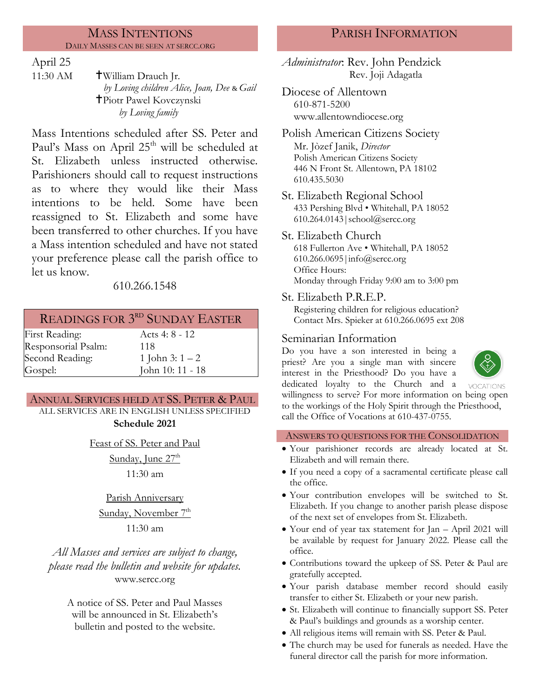#### MASS INTENTIONS DAILY MASSES CAN BE SEEN AT SERCC.ORG

April 25

11:30 AM **T**William Drauch Jr. *by Loving children Alice, Joan, Dee* & *Gail* Piotr Pawel Kovczynski *by Loving family*

Mass Intentions scheduled after SS. Peter and Paul's Mass on April 25<sup>th</sup> will be scheduled at St. Elizabeth unless instructed otherwise. Parishioners should call to request instructions as to where they would like their Mass intentions to be held. Some have been reassigned to St. Elizabeth and some have been transferred to other churches. If you have a Mass intention scheduled and have not stated your preference please call the parish office to let us know.

610.266.1548

# READINGS FOR 3<sup>rd</sup> SUNDAY EASTER

| <b>First Reading:</b> | Acts 4: 8 - 12   |
|-----------------------|------------------|
| Responsorial Psalm:   | 118              |
| Second Reading:       | 1 John $3:1-2$   |
| Gospel:               | John 10: 11 - 18 |

#### ANNUAL SERVICES HELD AT SS. PETER & PAUL ALL SERVICES ARE IN ENGLISH UNLESS SPECIFIED

**Schedule 2021**

Feast of SS. Peter and Paul

Sunday, June 27<sup>th</sup>

11:30 am

Parish Anniversary Sunday, November 7<sup>th</sup>

11:30 am

*All Masses and services are subject to change, please read the bulletin and website for updates.* www.sercc.org

A notice of SS. Peter and Paul Masses will be announced in St. Elizabeth's bulletin and posted to the website.

# PARISH INFORMATION

*Administrator*: Rev. John Pendzick Rev. Joji Adagatla

- Diocese of Allentown 610-871-5200 www.allentowndiocese.org
- Polish American Citizens Society Mr. Jòzef Janik, *Director* Polish American Citizens Society 446 N Front St. Allentown, PA 18102 610.435.5030
- St. Elizabeth Regional School 433 Pershing Blvd • Whitehall, PA 18052 610.264.0143|school@sercc.org

St. Elizabeth Church

618 Fullerton Ave • Whitehall, PA 18052 610.266.0695|info@sercc.org Office Hours: Monday through Friday 9:00 am to 3:00 pm

### St. Elizabeth P.R.E.P.

Registering children for religious education? Contact Mrs. Spieker at 610.266.0695 ext 208

## Seminarian Information

Do you have a son interested in being a priest? Are you a single man with sincere interest in the Priesthood? Do you have a dedicated loyalty to the Church and a



willingness to serve? For more information on being open to the workings of the Holy Spirit through the Priesthood, call the Office of Vocations at 610-437-0755.

#### ANSWERS TO QUESTIONS FOR THE CONSOLIDATION

- Your parishioner records are already located at St. Elizabeth and will remain there.
- If you need a copy of a sacramental certificate please call the office.
- Your contribution envelopes will be switched to St. Elizabeth. If you change to another parish please dispose of the next set of envelopes from St. Elizabeth.
- Your end of year tax statement for Jan April 2021 will be available by request for January 2022. Please call the office.
- Contributions toward the upkeep of SS. Peter & Paul are gratefully accepted.
- Your parish database member record should easily transfer to either St. Elizabeth or your new parish.
- St. Elizabeth will continue to financially support SS. Peter & Paul's buildings and grounds as a worship center.
- All religious items will remain with SS. Peter & Paul.
- The church may be used for funerals as needed. Have the funeral director call the parish for more information.